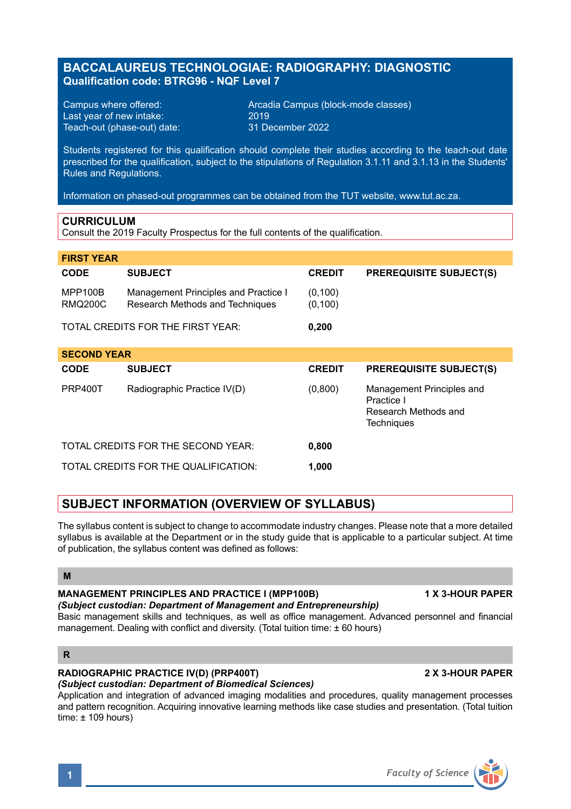# **BACCALAUREUS TECHNOLOGIAE: RADIOGRAPHY: DIAGNOSTIC Qualification code: BTRG96 - NQF Level 7**

Last year of new intake: 2019 Teach-out (phase-out) date:

Campus where offered: <br>
Last vear of new intake: 2019 2019<br>
2019 2019

Students registered for this qualification should complete their studies according to the teach-out date prescribed for the qualification, subject to the stipulations of Regulation 3.1.11 and 3.1.13 in the Students' Rules and Regulations.

Information on phased-out programmes can be obtained from the TUT website, www.tut.ac.za.

## **CURRICULUM**

Consult the 2019 Faculty Prospectus for the full contents of the qualification.

| <b>FIRST YEAR</b>                  |                                                                         |                      |                                                                               |
|------------------------------------|-------------------------------------------------------------------------|----------------------|-------------------------------------------------------------------------------|
| <b>CODE</b>                        | <b>SUBJECT</b>                                                          | <b>CREDIT</b>        | <b>PREREQUISITE SUBJECT(S)</b>                                                |
| <b>MPP100B</b><br><b>RMQ200C</b>   | Management Principles and Practice I<br>Research Methods and Techniques | (0, 100)<br>(0, 100) |                                                                               |
|                                    | TOTAL CREDITS FOR THE FIRST YEAR:                                       | 0.200                |                                                                               |
| <b>SECOND YEAR</b>                 |                                                                         |                      |                                                                               |
| <b>CODE</b>                        | <b>SUBJECT</b>                                                          | <b>CREDIT</b>        | <b>PREREQUISITE SUBJECT(S)</b>                                                |
| PRP400T                            | Radiographic Practice IV(D)                                             | (0,800)              | Management Principles and<br>Practice I<br>Research Methods and<br>Techniques |
| TOTAL CREDITS FOR THE SECOND YEAR: |                                                                         | 0.800                |                                                                               |
|                                    | TOTAL CREDITS FOR THE QUALIFICATION:                                    | 1,000                |                                                                               |

# **SUBJECT INFORMATION (OVERVIEW OF SYLLABUS)**

The syllabus content is subject to change to accommodate industry changes. Please note that a more detailed syllabus is available at the Department or in the study guide that is applicable to a particular subject. At time of publication, the syllabus content was defined as follows:

### **M**

# **MANAGEMENT PRINCIPLES AND PRACTICE I (MPP100B) 1 X 3-HOUR PAPER**

#### *(Subject custodian: Department of Management and Entrepreneurship)* Basic management skills and techniques, as well as office management. Advanced personnel and financial management. Dealing with conflict and diversity. (Total tuition time:  $\pm 60$  hours)

## **R**

## **RADIOGRAPHIC PRACTICE IV(D) (PRP400T) 2 X 3-HOUR PAPER**

*(Subject custodian: Department of Biomedical Sciences)*

Application and integration of advanced imaging modalities and procedures, quality management processes and pattern recognition. Acquiring innovative learning methods like case studies and presentation. (Total tuition time: ± 109 hours)